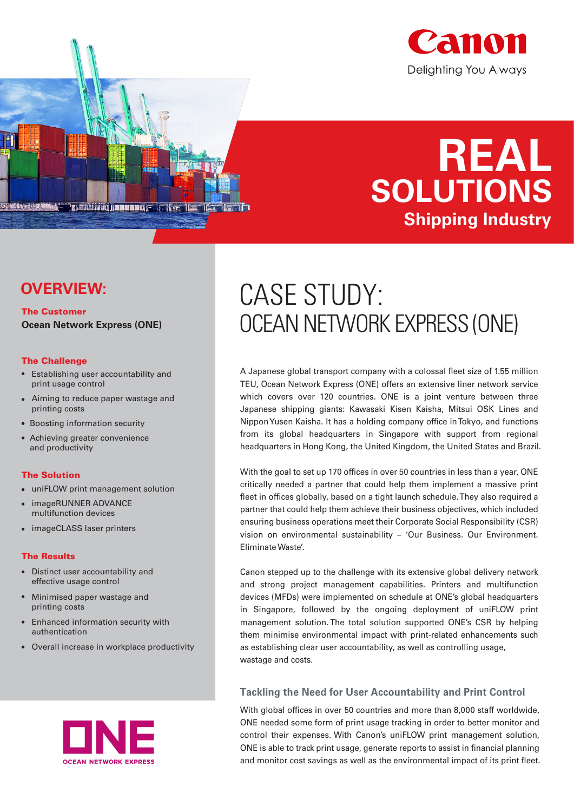



### **OVERVIEW:**

The Customer **Ocean Network Express (ONE)**

<u>iz občinini) kao nany p</u>

 $\mathbf{L}$ T

#### The Challenge

- Establishing user accountability and print usage control
- Aiming to reduce paper wastage and printing costs
- Boosting information security
- Achieving greater convenience and productivity

#### The Solution

- uniFLOW print management solution
- imageRUNNER ADVANCE multifunction devices
- imageCLASS laser printers

#### The Results

- Distinct user accountability and effective usage control
- $\bullet$ Minimised paper wastage and printing costs
- Enhanced information security with authentication
- Overall increase in workplace productivity



# CASE STUDY: OCEAN NETWORK EXPRESS (ONE)

A Japanese global transport company with a colossal fleet size of 1.55 million TEU, Ocean Network Express (ONE) offers an extensive liner network service which covers over 120 countries. ONE is a joint venture between three Japanese shipping giants: Kawasaki Kisen Kaisha, Mitsui OSK Lines and Nippon Yusen Kaisha. It has a holding company office in Tokyo, and functions from its global headquarters in Singapore with support from regional headquarters in Hong Kong, the United Kingdom, the United States and Brazil.

With the goal to set up 170 offices in over 50 countries in less than a year, ONE critically needed a partner that could help them implement a massive print fleet in offices globally, based on a tight launch schedule. They also required a partner that could help them achieve their business objectives, which included ensuring business operations meet their Corporate Social Responsibility (CSR) vision on environmental sustainability - 'Our Business. Our Environment. Eliminate Waste'.

Canon stepped up to the challenge with its extensive global delivery network and strong project management capabilities. Printers and multifunction devices (MFDs) were implemented on schedule at ONE's global headquarters in Singapore, followed by the ongoing deployment of uniFLOW print management solution. The total solution supported ONE's CSR by helping them minimise environmental impact with print-related enhancements such as establishing clear user accountability, as well as controlling usage, wastage and costs.

#### **Tackling the Need for User Accountability and Print Control**

With global offices in over 50 countries and more than 8,000 staff worldwide, ONE needed some form of print usage tracking in order to better monitor and control their expenses. With Canon's uniFLOW print management solution, ONE is able to track print usage, generate reports to assist in financial planning and monitor cost savings as well as the environmental impact of its print fleet.